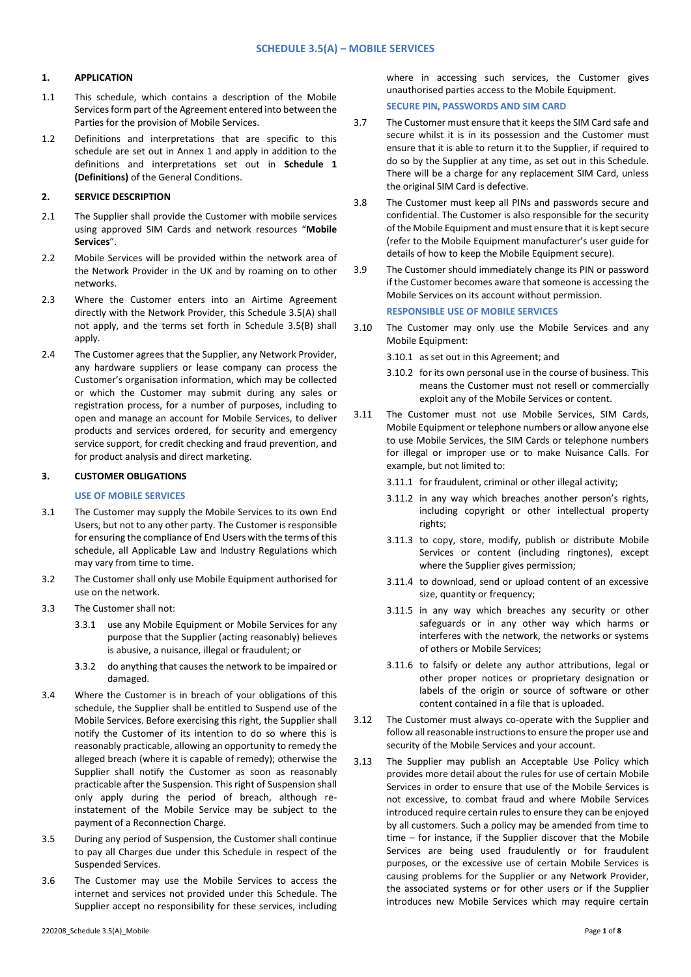#### **1. APPLICATION**

- 1.1 This schedule, which contains a description of the Mobile Services form part of the Agreement entered into between the Parties for the provision of Mobile Services.
- 1.2 Definitions and interpretations that are specific to this schedule are set out in Annex 1 and apply in addition to the definitions and interpretations set out in **Schedule 1 (Definitions)** of the General Conditions.

# **2. SERVICE DESCRIPTION**

- 2.1 The Supplier shall provide the Customer with mobile services using approved SIM Cards and network resources "**Mobile Services**".
- 2.2 Mobile Services will be provided within the network area of the Network Provider in the UK and by roaming on to other networks.
- 2.3 Where the Customer enters into an Airtime Agreement directly with the Network Provider, this Schedule 3.5(A) shall not apply, and the terms set forth in Schedule 3.5(B) shall apply.
- 2.4 The Customer agrees that the Supplier, any Network Provider, any hardware suppliers or lease company can process the Customer's organisation information, which may be collected or which the Customer may submit during any sales or registration process, for a number of purposes, including to open and manage an account for Mobile Services, to deliver products and services ordered, for security and emergency service support, for credit checking and fraud prevention, and for product analysis and direct marketing.

# **3. CUSTOMER OBLIGATIONS**

#### **USE OF MOBILE SERVICES**

- 3.1 The Customer may supply the Mobile Services to its own End Users, but not to any other party. The Customer is responsible for ensuring the compliance of End Users with the terms of this schedule, all Applicable Law and Industry Regulations which may vary from time to time.
- 3.2 The Customer shall only use Mobile Equipment authorised for use on the network.
- 3.3 The Customer shall not:
	- 3.3.1 use any Mobile Equipment or Mobile Services for any purpose that the Supplier (acting reasonably) believes is abusive, a nuisance, illegal or fraudulent; or
	- 3.3.2 do anything that causes the network to be impaired or damaged.
- 3.4 Where the Customer is in breach of your obligations of this schedule, the Supplier shall be entitled to Suspend use of the Mobile Services. Before exercising this right, the Supplier shall notify the Customer of its intention to do so where this is reasonably practicable, allowing an opportunity to remedy the alleged breach (where it is capable of remedy); otherwise the Supplier shall notify the Customer as soon as reasonably practicable after the Suspension. This right of Suspension shall only apply during the period of breach, although reinstatement of the Mobile Service may be subject to the payment of a Reconnection Charge.
- 3.5 During any period of Suspension, the Customer shall continue to pay all Charges due under this Schedule in respect of the Suspended Services.
- 3.6 The Customer may use the Mobile Services to access the internet and services not provided under this Schedule. The Supplier accept no responsibility for these services, including

where in accessing such services, the Customer gives unauthorised parties access to the Mobile Equipment. **SECURE PIN, PASSWORDS AND SIM CARD**

- 3.7 The Customer must ensure that it keeps the SIM Card safe and secure whilst it is in its possession and the Customer must ensure that it is able to return it to the Supplier, if required to do so by the Supplier at any time, as set out in this Schedule. There will be a charge for any replacement SIM Card, unless the original SIM Card is defective.
- 3.8 The Customer must keep all PINs and passwords secure and confidential. The Customer is also responsible for the security of the Mobile Equipment and must ensure that it is kept secure (refer to the Mobile Equipment manufacturer's user guide for details of how to keep the Mobile Equipment secure).
- 3.9 The Customer should immediately change its PIN or password if the Customer becomes aware that someone is accessing the Mobile Services on its account without permission.

#### **RESPONSIBLE USE OF MOBILE SERVICES**

- 3.10 The Customer may only use the Mobile Services and any Mobile Equipment:
	- 3.10.1 as set out in this Agreement; and
	- 3.10.2 for its own personal use in the course of business. This means the Customer must not resell or commercially exploit any of the Mobile Services or content.
- 3.11 The Customer must not use Mobile Services, SIM Cards, Mobile Equipment or telephone numbers or allow anyone else to use Mobile Services, the SIM Cards or telephone numbers for illegal or improper use or to make Nuisance Calls. For example, but not limited to:
	- 3.11.1 for fraudulent, criminal or other illegal activity;
	- 3.11.2 in any way which breaches another person's rights, including copyright or other intellectual property rights;
	- 3.11.3 to copy, store, modify, publish or distribute Mobile Services or content (including ringtones), except where the Supplier gives permission;
	- 3.11.4 to download, send or upload content of an excessive size, quantity or frequency;
	- 3.11.5 in any way which breaches any security or other safeguards or in any other way which harms or interferes with the network, the networks or systems of others or Mobile Services;
	- 3.11.6 to falsify or delete any author attributions, legal or other proper notices or proprietary designation or labels of the origin or source of software or other content contained in a file that is uploaded.
- 3.12 The Customer must always co-operate with the Supplier and follow all reasonable instructions to ensure the proper use and security of the Mobile Services and your account.
- 3.13 The Supplier may publish an Acceptable Use Policy which provides more detail about the rules for use of certain Mobile Services in order to ensure that use of the Mobile Services is not excessive, to combat fraud and where Mobile Services introduced require certain rules to ensure they can be enjoyed by all customers. Such a policy may be amended from time to time – for instance, if the Supplier discover that the Mobile Services are being used fraudulently or for fraudulent purposes, or the excessive use of certain Mobile Services is causing problems for the Supplier or any Network Provider, the associated systems or for other users or if the Supplier introduces new Mobile Services which may require certain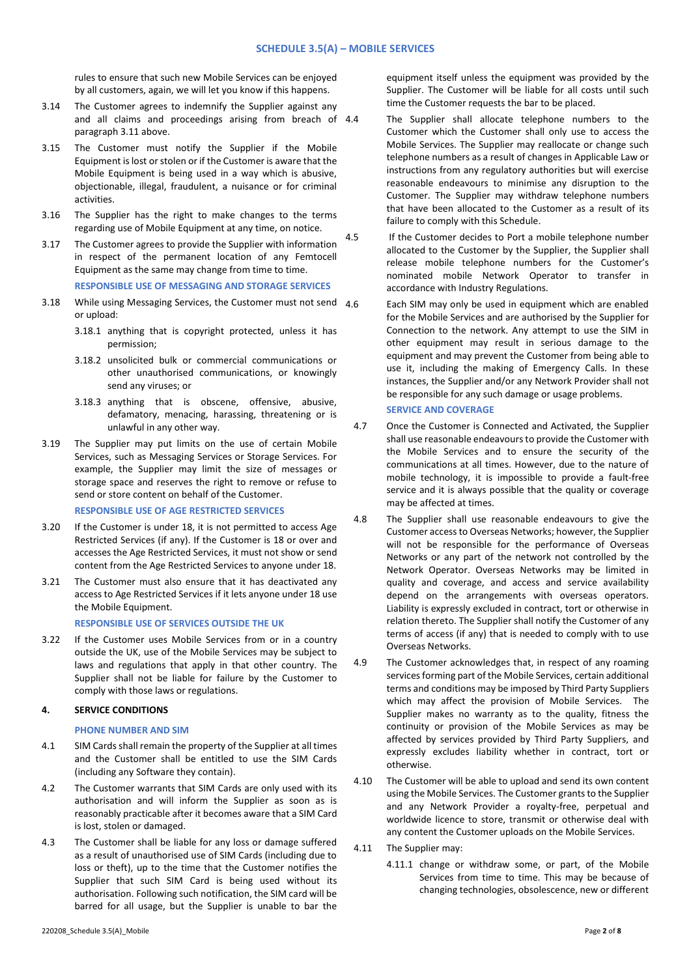rules to ensure that such new Mobile Services can be enjoyed by all customers, again, we will let you know if this happens.

- 3.14 The Customer agrees to indemnify the Supplier against any and all claims and proceedings arising from breach of 4.4 paragraph 3.11 above.
- 3.15 The Customer must notify the Supplier if the Mobile Equipment is lost or stolen or if the Customer is aware that the Mobile Equipment is being used in a way which is abusive, objectionable, illegal, fraudulent, a nuisance or for criminal activities.
- 3.16 The Supplier has the right to make changes to the terms regarding use of Mobile Equipment at any time, on notice.
- 3.17 The Customer agrees to provide the Supplier with information in respect of the permanent location of any Femtocell Equipment as the same may change from time to time.

# **RESPONSIBLE USE OF MESSAGING AND STORAGE SERVICES**

- 3.18 While using Messaging Services, the Customer must not send  $A_6$ or upload:
	- 3.18.1 anything that is copyright protected, unless it has permission;
	- 3.18.2 unsolicited bulk or commercial communications or other unauthorised communications, or knowingly send any viruses; or
	- 3.18.3 anything that is obscene, offensive, abusive, defamatory, menacing, harassing, threatening or is unlawful in any other way.
- 3.19 The Supplier may put limits on the use of certain Mobile Services, such as Messaging Services or Storage Services. For example, the Supplier may limit the size of messages or storage space and reserves the right to remove or refuse to send or store content on behalf of the Customer. **RESPONSIBLE USE OF AGE RESTRICTED SERVICES**
- 3.20 If the Customer is under 18, it is not permitted to access Age Restricted Services (if any). If the Customer is 18 or over and accesses the Age Restricted Services, it must not show or send content from the Age Restricted Services to anyone under 18.
- 3.21 The Customer must also ensure that it has deactivated any access to Age Restricted Services if it lets anyone under 18 use the Mobile Equipment.

#### **RESPONSIBLE USE OF SERVICES OUTSIDE THE UK**

3.22 If the Customer uses Mobile Services from or in a country outside the UK, use of the Mobile Services may be subject to laws and regulations that apply in that other country. The Supplier shall not be liable for failure by the Customer to comply with those laws or regulations.

### **4. SERVICE CONDITIONS**

#### **PHONE NUMBER AND SIM**

- 4.1 SIM Cards shall remain the property of the Supplier at all times and the Customer shall be entitled to use the SIM Cards (including any Software they contain).
- 4.2 The Customer warrants that SIM Cards are only used with its authorisation and will inform the Supplier as soon as is reasonably practicable after it becomes aware that a SIM Card is lost, stolen or damaged.
- 4.3 The Customer shall be liable for any loss or damage suffered as a result of unauthorised use of SIM Cards (including due to loss or theft), up to the time that the Customer notifies the Supplier that such SIM Card is being used without its authorisation. Following such notification, the SIM card will be barred for all usage, but the Supplier is unable to bar the

equipment itself unless the equipment was provided by the Supplier. The Customer will be liable for all costs until such time the Customer requests the bar to be placed.

- The Supplier shall allocate telephone numbers to the Customer which the Customer shall only use to access the Mobile Services. The Supplier may reallocate or change such telephone numbers as a result of changes in Applicable Law or instructions from any regulatory authorities but will exercise reasonable endeavours to minimise any disruption to the Customer. The Supplier may withdraw telephone numbers that have been allocated to the Customer as a result of its failure to comply with this Schedule.
- 4.5 If the Customer decides to Port a mobile telephone number allocated to the Customer by the Supplier, the Supplier shall release mobile telephone numbers for the Customer's nominated mobile Network Operator to transfer in accordance with Industry Regulations.
	- Each SIM may only be used in equipment which are enabled for the Mobile Services and are authorised by the Supplier for Connection to the network. Any attempt to use the SIM in other equipment may result in serious damage to the equipment and may prevent the Customer from being able to use it, including the making of Emergency Calls. In these instances, the Supplier and/or any Network Provider shall not be responsible for any such damage or usage problems. **SERVICE AND COVERAGE**
	- 4.7 Once the Customer is Connected and Activated, the Supplier shall use reasonable endeavours to provide the Customer with the Mobile Services and to ensure the security of the communications at all times. However, due to the nature of mobile technology, it is impossible to provide a fault-free service and it is always possible that the quality or coverage may be affected at times.
	- 4.8 The Supplier shall use reasonable endeavours to give the Customer access to Overseas Networks; however, the Supplier will not be responsible for the performance of Overseas Networks or any part of the network not controlled by the Network Operator. Overseas Networks may be limited in quality and coverage, and access and service availability depend on the arrangements with overseas operators. Liability is expressly excluded in contract, tort or otherwise in relation thereto. The Supplier shall notify the Customer of any terms of access (if any) that is needed to comply with to use Overseas Networks.
	- 4.9 The Customer acknowledges that, in respect of any roaming services forming part of the Mobile Services, certain additional terms and conditions may be imposed by Third Party Suppliers which may affect the provision of Mobile Services. The Supplier makes no warranty as to the quality, fitness the continuity or provision of the Mobile Services as may be affected by services provided by Third Party Suppliers, and expressly excludes liability whether in contract, tort or otherwise.
	- 4.10 The Customer will be able to upload and send its own content using the Mobile Services. The Customer grants to the Supplier and any Network Provider a royalty-free, perpetual and worldwide licence to store, transmit or otherwise deal with any content the Customer uploads on the Mobile Services.
	- 4.11 The Supplier may:
		- 4.11.1 change or withdraw some, or part, of the Mobile Services from time to time. This may be because of changing technologies, obsolescence, new or different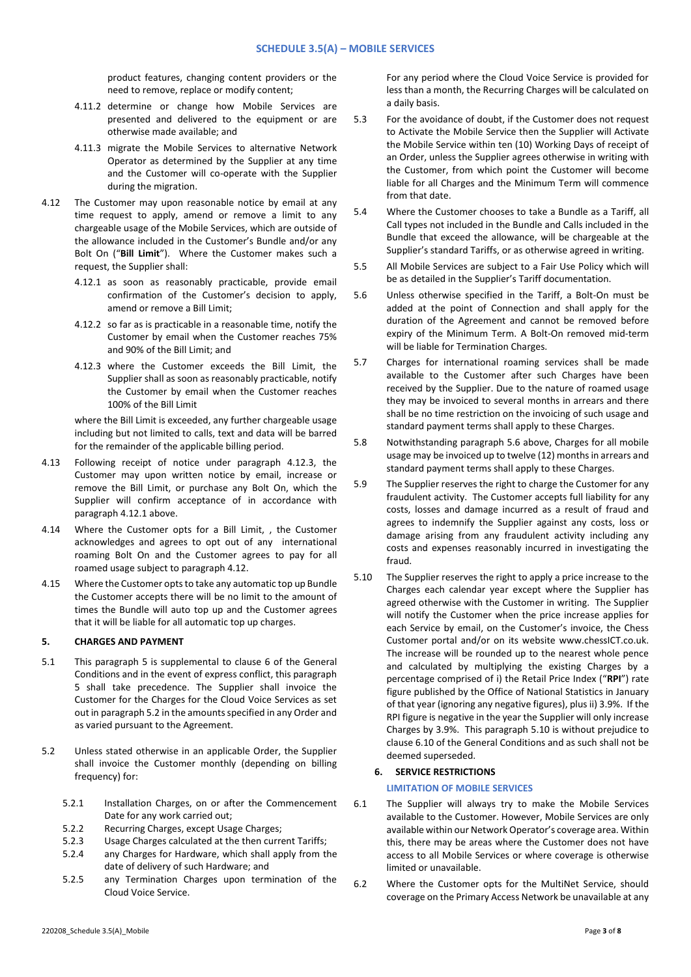product features, changing content providers or the need to remove, replace or modify content;

- 4.11.2 determine or change how Mobile Services are presented and delivered to the equipment or are otherwise made available; and
- 4.11.3 migrate the Mobile Services to alternative Network Operator as determined by the Supplier at any time and the Customer will co-operate with the Supplier during the migration.
- 4.12 The Customer may upon reasonable notice by email at any time request to apply, amend or remove a limit to any chargeable usage of the Mobile Services, which are outside of the allowance included in the Customer's Bundle and/or any Bolt On ("**Bill Limit**"). Where the Customer makes such a request, the Supplier shall:
	- 4.12.1 as soon as reasonably practicable, provide email confirmation of the Customer's decision to apply, amend or remove a Bill Limit;
	- 4.12.2 so far as is practicable in a reasonable time, notify the Customer by email when the Customer reaches 75% and 90% of the Bill Limit; and
	- 4.12.3 where the Customer exceeds the Bill Limit, the Supplier shall as soon as reasonably practicable, notify the Customer by email when the Customer reaches 100% of the Bill Limit

where the Bill Limit is exceeded, any further chargeable usage including but not limited to calls, text and data will be barred for the remainder of the applicable billing period.

- 4.13 Following receipt of notice under paragraph 4.12.3, the Customer may upon written notice by email, increase or remove the Bill Limit, or purchase any Bolt On, which the Supplier will confirm acceptance of in accordance with paragraph 4.12.1 above.
- 4.14 Where the Customer opts for a Bill Limit, , the Customer acknowledges and agrees to opt out of any international roaming Bolt On and the Customer agrees to pay for all roamed usage subject to paragraph 4.12.
- 4.15 Where the Customer opts to take any automatic top up Bundle the Customer accepts there will be no limit to the amount of times the Bundle will auto top up and the Customer agrees that it will be liable for all automatic top up charges.

#### **5. CHARGES AND PAYMENT**

- 5.1 This paragraph 5 is supplemental to clause 6 of the General Conditions and in the event of express conflict, this paragraph 5 shall take precedence. The Supplier shall invoice the Customer for the Charges for the Cloud Voice Services as set out in paragrap[h 5.2](#page-2-0) in the amounts specified in any Order and as varied pursuant to the Agreement.
- <span id="page-2-0"></span>5.2 Unless stated otherwise in an applicable Order, the Supplier shall invoice the Customer monthly (depending on billing frequency) for:
	- 5.2.1 Installation Charges, on or after the Commencement Date for any work carried out;
	- 5.2.2 Recurring Charges, except Usage Charges;
	- 5.2.3 Usage Charges calculated at the then current Tariffs;
	- 5.2.4 any Charges for Hardware, which shall apply from the date of delivery of such Hardware; and
	- 5.2.5 any Termination Charges upon termination of the Cloud Voice Service.

For any period where the Cloud Voice Service is provided for less than a month, the Recurring Charges will be calculated on a daily basis.

- 5.3 For the avoidance of doubt, if the Customer does not request to Activate the Mobile Service then the Supplier will Activate the Mobile Service within ten (10) Working Days of receipt of an Order, unless the Supplier agrees otherwise in writing with the Customer, from which point the Customer will become liable for all Charges and the Minimum Term will commence from that date.
- 5.4 Where the Customer chooses to take a Bundle as a Tariff, all Call types not included in the Bundle and Calls included in the Bundle that exceed the allowance, will be chargeable at the Supplier's standard Tariffs, or as otherwise agreed in writing.
- 5.5 All Mobile Services are subject to a Fair Use Policy which will be as detailed in the Supplier's Tariff documentation.
- 5.6 Unless otherwise specified in the Tariff, a Bolt-On must be added at the point of Connection and shall apply for the duration of the Agreement and cannot be removed before expiry of the Minimum Term. A Bolt-On removed mid-term will be liable for Termination Charges.
- 5.7 Charges for international roaming services shall be made available to the Customer after such Charges have been received by the Supplier. Due to the nature of roamed usage they may be invoiced to several months in arrears and there shall be no time restriction on the invoicing of such usage and standard payment terms shall apply to these Charges.
- 5.8 Notwithstanding paragraph 5.6 above, Charges for all mobile usage may be invoiced up to twelve (12) months in arrears and standard payment terms shall apply to these Charges.
- 5.9 The Supplier reserves the right to charge the Customer for any fraudulent activity. The Customer accepts full liability for any costs, losses and damage incurred as a result of fraud and agrees to indemnify the Supplier against any costs, loss or damage arising from any fraudulent activity including any costs and expenses reasonably incurred in investigating the fraud.
- 5.10 The Supplier reserves the right to apply a price increase to the Charges each calendar year except where the Supplier has agreed otherwise with the Customer in writing. The Supplier will notify the Customer when the price increase applies for each Service by email, on the Customer's invoice, the Chess Customer portal and/or on its website www.chessICT.co.uk. The increase will be rounded up to the nearest whole pence and calculated by multiplying the existing Charges by a percentage comprised of i) the Retail Price Index ("**RPI**") rate figure published by the Office of National Statistics in January of that year (ignoring any negative figures), plus ii) 3.9%. If the RPI figure is negative in the year the Supplier will only increase Charges by 3.9%. This paragraph 5.10 is without prejudice to clause 6.10 of the General Conditions and as such shall not be deemed superseded.

## **6. SERVICE RESTRICTIONS**

#### **LIMITATION OF MOBILE SERVICES**

- 6.1 The Supplier will always try to make the Mobile Services available to the Customer. However, Mobile Services are only available within our Network Operator's coverage area. Within this, there may be areas where the Customer does not have access to all Mobile Services or where coverage is otherwise limited or unavailable.
- 6.2 Where the Customer opts for the MultiNet Service, should coverage on the Primary Access Network be unavailable at any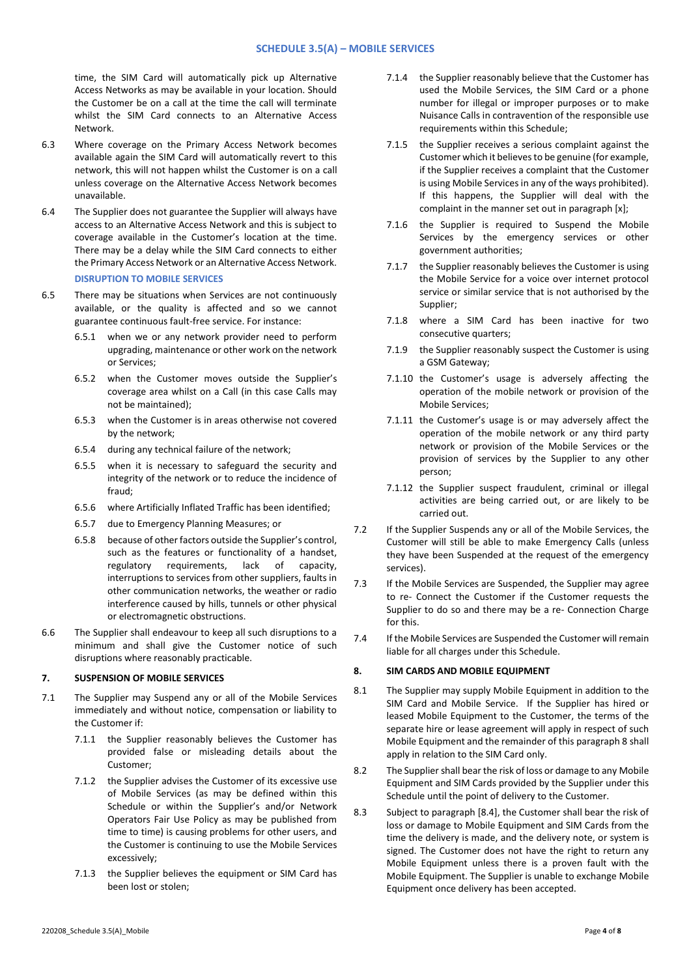time, the SIM Card will automatically pick up Alternative Access Networks as may be available in your location. Should the Customer be on a call at the time the call will terminate whilst the SIM Card connects to an Alternative Access Network.

- 6.3 Where coverage on the Primary Access Network becomes available again the SIM Card will automatically revert to this network, this will not happen whilst the Customer is on a call unless coverage on the Alternative Access Network becomes unavailable.
- 6.4 The Supplier does not guarantee the Supplier will always have access to an Alternative Access Network and this is subject to coverage available in the Customer's location at the time. There may be a delay while the SIM Card connects to either the Primary Access Network or an Alternative Access Network.

# **DISRUPTION TO MOBILE SERVICES**

- 6.5 There may be situations when Services are not continuously available, or the quality is affected and so we cannot guarantee continuous fault-free service. For instance:
	- 6.5.1 when we or any network provider need to perform upgrading, maintenance or other work on the network or Services;
	- 6.5.2 when the Customer moves outside the Supplier's coverage area whilst on a Call (in this case Calls may not be maintained);
	- 6.5.3 when the Customer is in areas otherwise not covered by the network;
	- 6.5.4 during any technical failure of the network;
	- 6.5.5 when it is necessary to safeguard the security and integrity of the network or to reduce the incidence of fraud;
	- 6.5.6 where Artificially Inflated Traffic has been identified;
	- 6.5.7 due to Emergency Planning Measures; or
	- 6.5.8 because of other factors outside the Supplier's control, such as the features or functionality of a handset, regulatory requirements, lack of capacity, interruptions to services from other suppliers, faults in other communication networks, the weather or radio interference caused by hills, tunnels or other physical or electromagnetic obstructions.
- 6.6 The Supplier shall endeavour to keep all such disruptions to a minimum and shall give the Customer notice of such disruptions where reasonably practicable.

# **7. SUSPENSION OF MOBILE SERVICES**

- 7.1 The Supplier may Suspend any or all of the Mobile Services immediately and without notice, compensation or liability to the Customer if:
	- 7.1.1 the Supplier reasonably believes the Customer has provided false or misleading details about the Customer;
	- 7.1.2 the Supplier advises the Customer of its excessive use of Mobile Services (as may be defined within this Schedule or within the Supplier's and/or Network Operators Fair Use Policy as may be published from time to time) is causing problems for other users, and the Customer is continuing to use the Mobile Services excessively;
	- 7.1.3 the Supplier believes the equipment or SIM Card has been lost or stolen;
- 7.1.4 the Supplier reasonably believe that the Customer has used the Mobile Services, the SIM Card or a phone number for illegal or improper purposes or to make Nuisance Calls in contravention of the responsible use requirements within this Schedule;
- 7.1.5 the Supplier receives a serious complaint against the Customer which it believesto be genuine (for example, if the Supplier receives a complaint that the Customer is using Mobile Services in any of the ways prohibited). If this happens, the Supplier will deal with the complaint in the manner set out in paragraph [x];
- 7.1.6 the Supplier is required to Suspend the Mobile Services by the emergency services or other government authorities;
- 7.1.7 the Supplier reasonably believes the Customer is using the Mobile Service for a voice over internet protocol service or similar service that is not authorised by the Supplier;
- 7.1.8 where a SIM Card has been inactive for two consecutive quarters;
- 7.1.9 the Supplier reasonably suspect the Customer is using a GSM Gateway;
- 7.1.10 the Customer's usage is adversely affecting the operation of the mobile network or provision of the Mobile Services;
- 7.1.11 the Customer's usage is or may adversely affect the operation of the mobile network or any third party network or provision of the Mobile Services or the provision of services by the Supplier to any other person;
- 7.1.12 the Supplier suspect fraudulent, criminal or illegal activities are being carried out, or are likely to be carried out.
- 7.2 If the Supplier Suspends any or all of the Mobile Services, the Customer will still be able to make Emergency Calls (unless they have been Suspended at the request of the emergency services).
- 7.3 If the Mobile Services are Suspended, the Supplier may agree to re- Connect the Customer if the Customer requests the Supplier to do so and there may be a re- Connection Charge for this.
- 7.4 If the Mobile Services are Suspended the Customer will remain liable for all charges under this Schedule.

#### **8. SIM CARDS AND MOBILE EQUIPMENT**

- 8.1 The Supplier may supply Mobile Equipment in addition to the SIM Card and Mobile Service. If the Supplier has hired or leased Mobile Equipment to the Customer, the terms of the separate hire or lease agreement will apply in respect of such Mobile Equipment and the remainder of this paragraph 8 shall apply in relation to the SIM Card only.
- 8.2 The Supplier shall bear the risk of loss or damage to any Mobile Equipment and SIM Cards provided by the Supplier under this Schedule until the point of delivery to the Customer.
- 8.3 Subject to paragraph [8.4], the Customer shall bear the risk of loss or damage to Mobile Equipment and SIM Cards from the time the delivery is made, and the delivery note, or system is signed. The Customer does not have the right to return any Mobile Equipment unless there is a proven fault with the Mobile Equipment. The Supplier is unable to exchange Mobile Equipment once delivery has been accepted.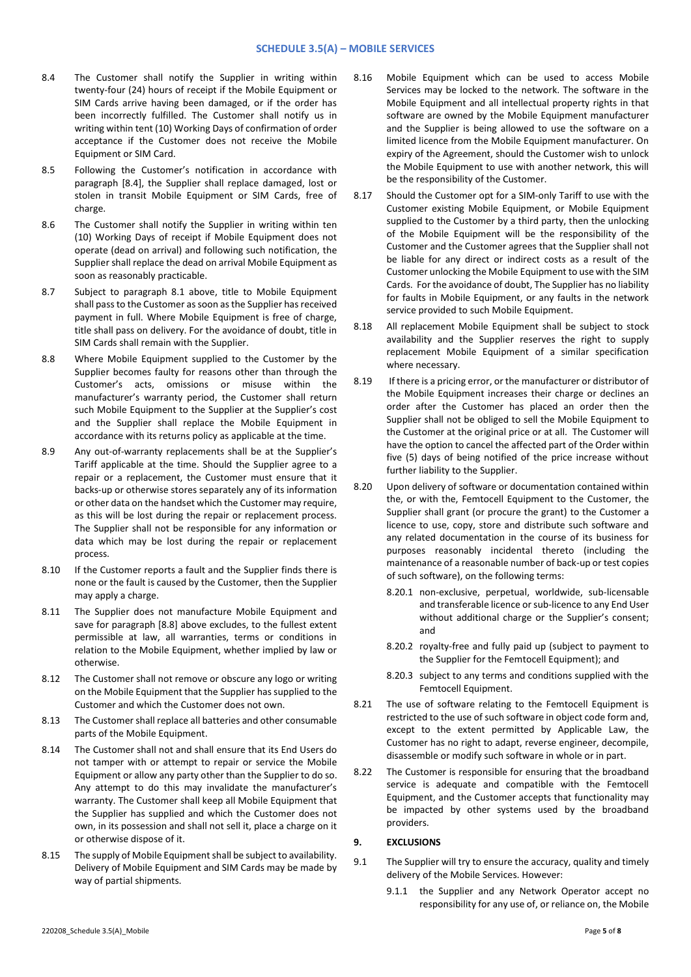- 8.4 The Customer shall notify the Supplier in writing within twenty-four (24) hours of receipt if the Mobile Equipment or SIM Cards arrive having been damaged, or if the order has been incorrectly fulfilled. The Customer shall notify us in writing within tent (10) Working Days of confirmation of order acceptance if the Customer does not receive the Mobile Equipment or SIM Card.
- 8.5 Following the Customer's notification in accordance with paragraph [8.4], the Supplier shall replace damaged, lost or stolen in transit Mobile Equipment or SIM Cards, free of charge.
- 8.6 The Customer shall notify the Supplier in writing within ten (10) Working Days of receipt if Mobile Equipment does not operate (dead on arrival) and following such notification, the Supplier shall replace the dead on arrival Mobile Equipment as soon as reasonably practicable.
- 8.7 Subject to paragraph 8.1 above, title to Mobile Equipment shall pass to the Customer as soon as the Supplier has received payment in full. Where Mobile Equipment is free of charge, title shall pass on delivery. For the avoidance of doubt, title in SIM Cards shall remain with the Supplier.
- 8.8 Where Mobile Equipment supplied to the Customer by the Supplier becomes faulty for reasons other than through the Customer's acts, omissions or misuse within the manufacturer's warranty period, the Customer shall return such Mobile Equipment to the Supplier at the Supplier's cost and the Supplier shall replace the Mobile Equipment in accordance with its returns policy as applicable at the time.
- 8.9 Any out-of-warranty replacements shall be at the Supplier's Tariff applicable at the time. Should the Supplier agree to a repair or a replacement, the Customer must ensure that it backs-up or otherwise stores separately any of its information or other data on the handset which the Customer may require, as this will be lost during the repair or replacement process. The Supplier shall not be responsible for any information or data which may be lost during the repair or replacement process.
- 8.10 If the Customer reports a fault and the Supplier finds there is none or the fault is caused by the Customer, then the Supplier may apply a charge.
- 8.11 The Supplier does not manufacture Mobile Equipment and save for paragraph [8.8] above excludes, to the fullest extent permissible at law, all warranties, terms or conditions in relation to the Mobile Equipment, whether implied by law or otherwise.
- 8.12 The Customer shall not remove or obscure any logo or writing on the Mobile Equipment that the Supplier has supplied to the Customer and which the Customer does not own.
- 8.13 The Customer shall replace all batteries and other consumable parts of the Mobile Equipment.
- 8.14 The Customer shall not and shall ensure that its End Users do not tamper with or attempt to repair or service the Mobile Equipment or allow any party other than the Supplier to do so. Any attempt to do this may invalidate the manufacturer's warranty. The Customer shall keep all Mobile Equipment that the Supplier has supplied and which the Customer does not own, in its possession and shall not sell it, place a charge on it or otherwise dispose of it.
- 8.15 The supply of Mobile Equipment shall be subject to availability. Delivery of Mobile Equipment and SIM Cards may be made by way of partial shipments.
- 8.16 Mobile Equipment which can be used to access Mobile Services may be locked to the network. The software in the Mobile Equipment and all intellectual property rights in that software are owned by the Mobile Equipment manufacturer and the Supplier is being allowed to use the software on a limited licence from the Mobile Equipment manufacturer. On expiry of the Agreement, should the Customer wish to unlock the Mobile Equipment to use with another network, this will be the responsibility of the Customer.
- 8.17 Should the Customer opt for a SIM-only Tariff to use with the Customer existing Mobile Equipment, or Mobile Equipment supplied to the Customer by a third party, then the unlocking of the Mobile Equipment will be the responsibility of the Customer and the Customer agrees that the Supplier shall not be liable for any direct or indirect costs as a result of the Customer unlocking the Mobile Equipment to use with the SIM Cards. For the avoidance of doubt, The Supplier has no liability for faults in Mobile Equipment, or any faults in the network service provided to such Mobile Equipment.
- 8.18 All replacement Mobile Equipment shall be subject to stock availability and the Supplier reserves the right to supply replacement Mobile Equipment of a similar specification where necessary.
- 8.19 If there is a pricing error, or the manufacturer or distributor of the Mobile Equipment increases their charge or declines an order after the Customer has placed an order then the Supplier shall not be obliged to sell the Mobile Equipment to the Customer at the original price or at all. The Customer will have the option to cancel the affected part of the Order within five (5) days of being notified of the price increase without further liability to the Supplier.
- 8.20 Upon delivery of software or documentation contained within the, or with the, Femtocell Equipment to the Customer, the Supplier shall grant (or procure the grant) to the Customer a licence to use, copy, store and distribute such software and any related documentation in the course of its business for purposes reasonably incidental thereto (including the maintenance of a reasonable number of back-up or test copies of such software), on the following terms:
	- 8.20.1 non-exclusive, perpetual, worldwide, sub-licensable and transferable licence or sub-licence to any End User without additional charge or the Supplier's consent; and
	- 8.20.2 royalty-free and fully paid up (subject to payment to the Supplier for the Femtocell Equipment); and
	- 8.20.3 subject to any terms and conditions supplied with the Femtocell Equipment.
- 8.21 The use of software relating to the Femtocell Equipment is restricted to the use of such software in object code form and, except to the extent permitted by Applicable Law, the Customer has no right to adapt, reverse engineer, decompile, disassemble or modify such software in whole or in part.
- 8.22 The Customer is responsible for ensuring that the broadband service is adequate and compatible with the Femtocell Equipment, and the Customer accepts that functionality may be impacted by other systems used by the broadband providers.

## **9. EXCLUSIONS**

- 9.1 The Supplier will try to ensure the accuracy, quality and timely delivery of the Mobile Services. However:
	- 9.1.1 the Supplier and any Network Operator accept no responsibility for any use of, or reliance on, the Mobile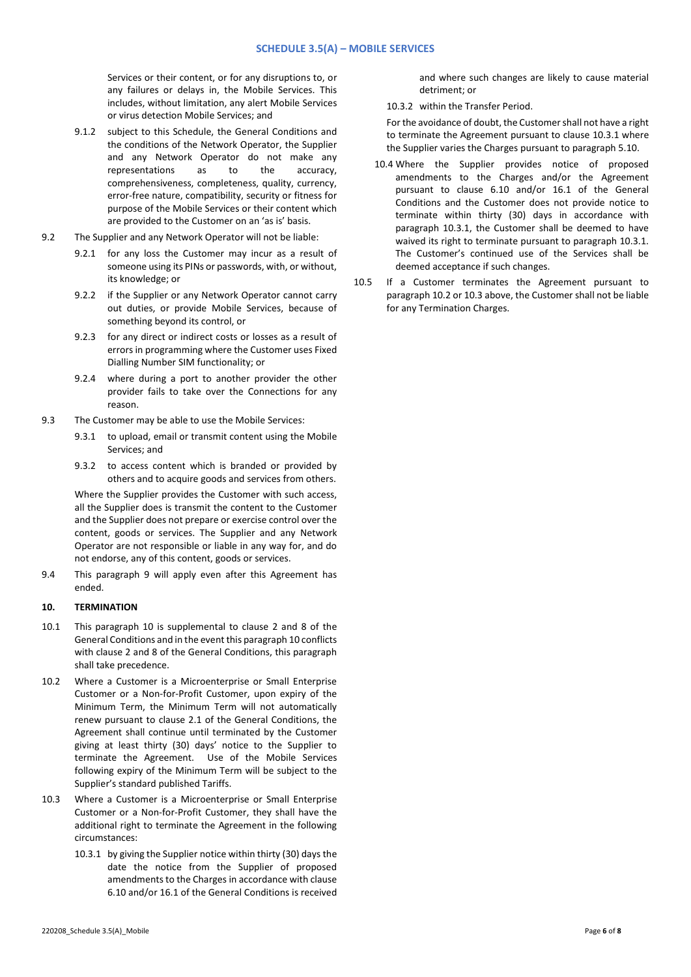Services or their content, or for any disruptions to, or any failures or delays in, the Mobile Services. This includes, without limitation, any alert Mobile Services or virus detection Mobile Services; and

- 9.1.2 subject to this Schedule, the General Conditions and the conditions of the Network Operator, the Supplier and any Network Operator do not make any representations as to the accuracy, comprehensiveness, completeness, quality, currency, error-free nature, compatibility, security or fitness for purpose of the Mobile Services or their content which are provided to the Customer on an 'as is' basis.
- 9.2 The Supplier and any Network Operator will not be liable:
	- 9.2.1 for any loss the Customer may incur as a result of someone using its PINs or passwords, with, or without, its knowledge; or
	- 9.2.2 if the Supplier or any Network Operator cannot carry out duties, or provide Mobile Services, because of something beyond its control, or
	- 9.2.3 for any direct or indirect costs or losses as a result of errors in programming where the Customer uses Fixed Dialling Number SIM functionality; or
	- 9.2.4 where during a port to another provider the other provider fails to take over the Connections for any reason.
- 9.3 The Customer may be able to use the Mobile Services:
	- 9.3.1 to upload, email or transmit content using the Mobile Services; and
	- 9.3.2 to access content which is branded or provided by others and to acquire goods and services from others.

Where the Supplier provides the Customer with such access, all the Supplier does is transmit the content to the Customer and the Supplier does not prepare or exercise control over the content, goods or services. The Supplier and any Network Operator are not responsible or liable in any way for, and do not endorse, any of this content, goods or services.

9.4 This paragraph 9 will apply even after this Agreement has ended.

# **10. TERMINATION**

- 10.1 This paragraph 10 is supplemental to clause 2 and 8 of the General Conditions and in the event this paragraph 10 conflicts with clause 2 and 8 of the General Conditions, this paragraph shall take precedence.
- 10.2 Where a Customer is a Microenterprise or Small Enterprise Customer or a Non-for-Profit Customer, upon expiry of the Minimum Term, the Minimum Term will not automatically renew pursuant to clause 2.1 of the General Conditions, the Agreement shall continue until terminated by the Customer giving at least thirty (30) days' notice to the Supplier to terminate the Agreement. Use of the Mobile Services following expiry of the Minimum Term will be subject to the Supplier's standard published Tariffs.
- 10.3 Where a Customer is a Microenterprise or Small Enterprise Customer or a Non-for-Profit Customer, they shall have the additional right to terminate the Agreement in the following circumstances:
	- 10.3.1 by giving the Supplier notice within thirty (30) days the date the notice from the Supplier of proposed amendments to the Charges in accordance with clause 6.10 and/or 16.1 of the General Conditions is received

and where such changes are likely to cause material detriment; or

10.3.2 within the Transfer Period.

For the avoidance of doubt, the Customer shall not have a right to terminate the Agreement pursuant to clause 10.3.1 where the Supplier varies the Charges pursuant to paragraph 5.10.

- 10.4 Where the Supplier provides notice of proposed amendments to the Charges and/or the Agreement pursuant to clause 6.10 and/or 16.1 of the General Conditions and the Customer does not provide notice to terminate within thirty (30) days in accordance with paragraph 10.3.1, the Customer shall be deemed to have waived its right to terminate pursuant to paragraph 10.3.1. The Customer's continued use of the Services shall be deemed acceptance if such changes.
- 10.5 If a Customer terminates the Agreement pursuant to paragraph 10.2 or 10.3 above, the Customer shall not be liable for any Termination Charges.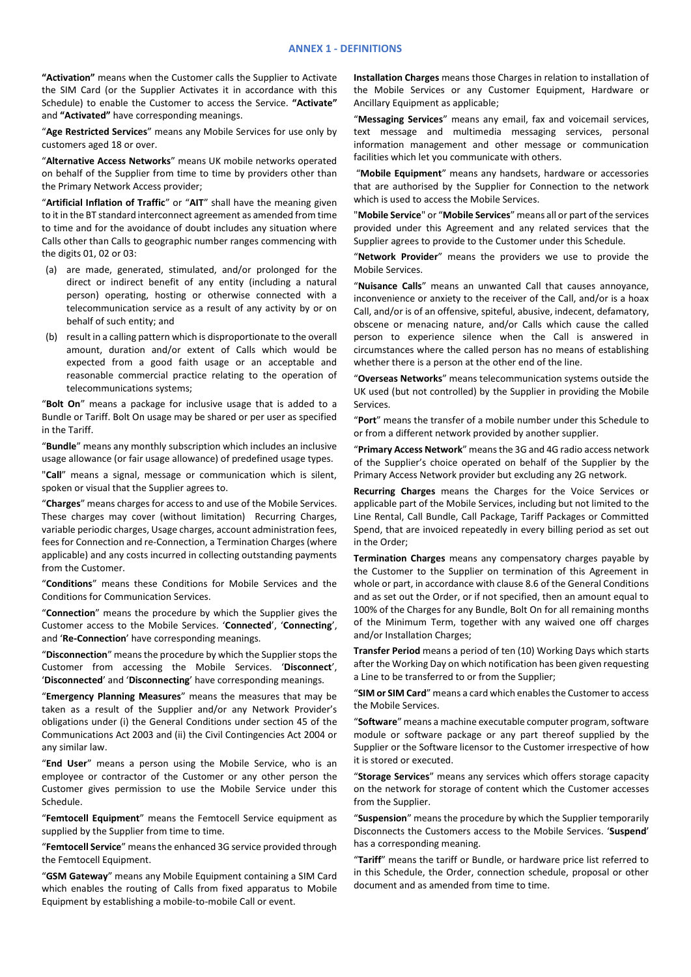**"Activation"** means when the Customer calls the Supplier to Activate the SIM Card (or the Supplier Activates it in accordance with this Schedule) to enable the Customer to access the Service. **"Activate"**  and **"Activated"** have corresponding meanings.

"**Age Restricted Services**" means any Mobile Services for use only by customers aged 18 or over.

"**Alternative Access Networks**" means UK mobile networks operated on behalf of the Supplier from time to time by providers other than the Primary Network Access provider;

"**Artificial Inflation of Traffic**" or "**AIT**" shall have the meaning given to it in the BT standard interconnect agreement as amended from time to time and for the avoidance of doubt includes any situation where Calls other than Calls to geographic number ranges commencing with the digits 01, 02 or 03:

- (a) are made, generated, stimulated, and/or prolonged for the direct or indirect benefit of any entity (including a natural person) operating, hosting or otherwise connected with a telecommunication service as a result of any activity by or on behalf of such entity; and
- (b) result in a calling pattern which is disproportionate to the overall amount, duration and/or extent of Calls which would be expected from a good faith usage or an acceptable and reasonable commercial practice relating to the operation of telecommunications systems;

"**Bolt On**" means a package for inclusive usage that is added to a Bundle or Tariff. Bolt On usage may be shared or per user as specified in the Tariff.

"**Bundle**" means any monthly subscription which includes an inclusive usage allowance (or fair usage allowance) of predefined usage types.

"**Call**" means a signal, message or communication which is silent, spoken or visual that the Supplier agrees to.

"**Charges**" means charges for access to and use of the Mobile Services. These charges may cover (without limitation) Recurring Charges, variable periodic charges, Usage charges, account administration fees, fees for Connection and re-Connection, a Termination Charges (where applicable) and any costs incurred in collecting outstanding payments from the Customer.

"**Conditions**" means these Conditions for Mobile Services and the Conditions for Communication Services.

"**Connection**" means the procedure by which the Supplier gives the Customer access to the Mobile Services. '**Connected**', '**Connecting**', and '**Re-Connection**' have corresponding meanings.

"**Disconnection**" means the procedure by which the Supplier stops the Customer from accessing the Mobile Services. '**Disconnect**', '**Disconnected**' and '**Disconnecting**' have corresponding meanings.

"**Emergency Planning Measures**" means the measures that may be taken as a result of the Supplier and/or any Network Provider's obligations under (i) the General Conditions under section 45 of the Communications Act 2003 and (ii) the Civil Contingencies Act 2004 or any similar law.

"**End User**" means a person using the Mobile Service, who is an employee or contractor of the Customer or any other person the Customer gives permission to use the Mobile Service under this Schedule.

"**Femtocell Equipment**" means the Femtocell Service equipment as supplied by the Supplier from time to time.

"**Femtocell Service**" means the enhanced 3G service provided through the Femtocell Equipment.

"**GSM Gateway**" means any Mobile Equipment containing a SIM Card which enables the routing of Calls from fixed apparatus to Mobile Equipment by establishing a mobile-to-mobile Call or event.

**Installation Charges** means those Charges in relation to installation of the Mobile Services or any Customer Equipment, Hardware or Ancillary Equipment as applicable;

"**Messaging Services**" means any email, fax and voicemail services, text message and multimedia messaging services, personal information management and other message or communication facilities which let you communicate with others.

"**Mobile Equipment**" means any handsets, hardware or accessories that are authorised by the Supplier for Connection to the network which is used to access the Mobile Services.

"**Mobile Service**" or "**Mobile Services**" means all or part of the services provided under this Agreement and any related services that the Supplier agrees to provide to the Customer under this Schedule.

"**Network Provider**" means the providers we use to provide the Mobile Services.

"**Nuisance Calls**" means an unwanted Call that causes annoyance, inconvenience or anxiety to the receiver of the Call, and/or is a hoax Call, and/or is of an offensive, spiteful, abusive, indecent, defamatory, obscene or menacing nature, and/or Calls which cause the called person to experience silence when the Call is answered in circumstances where the called person has no means of establishing whether there is a person at the other end of the line.

"**Overseas Networks**" means telecommunication systems outside the UK used (but not controlled) by the Supplier in providing the Mobile Services.

"**Port**" means the transfer of a mobile number under this Schedule to or from a different network provided by another supplier.

"**Primary Access Network**" means the 3G and 4G radio access network of the Supplier's choice operated on behalf of the Supplier by the Primary Access Network provider but excluding any 2G network.

**Recurring Charges** means the Charges for the Voice Services or applicable part of the Mobile Services, including but not limited to the Line Rental, Call Bundle, Call Package, Tariff Packages or Committed Spend, that are invoiced repeatedly in every billing period as set out in the Order;

**Termination Charges** means any compensatory charges payable by the Customer to the Supplier on termination of this Agreement in whole or part, in accordance with clause 8.6 of the General Conditions and as set out the Order, or if not specified, then an amount equal to 100% of the Charges for any Bundle, Bolt On for all remaining months of the Minimum Term, together with any waived one off charges and/or Installation Charges;

**Transfer Period** means a period of ten (10) Working Days which starts after the Working Day on which notification has been given requesting a Line to be transferred to or from the Supplier;

"**SIM or SIM Card**" means a card which enables the Customer to access the Mobile Services.

"**Software**" means a machine executable computer program, software module or software package or any part thereof supplied by the Supplier or the Software licensor to the Customer irrespective of how it is stored or executed.

"**Storage Services**" means any services which offers storage capacity on the network for storage of content which the Customer accesses from the Supplier.

"**Suspension**" means the procedure by which the Supplier temporarily Disconnects the Customers access to the Mobile Services. '**Suspend**' has a corresponding meaning.

"**Tariff**" means the tariff or Bundle, or hardware price list referred to in this Schedule, the Order, connection schedule, proposal or other document and as amended from time to time.